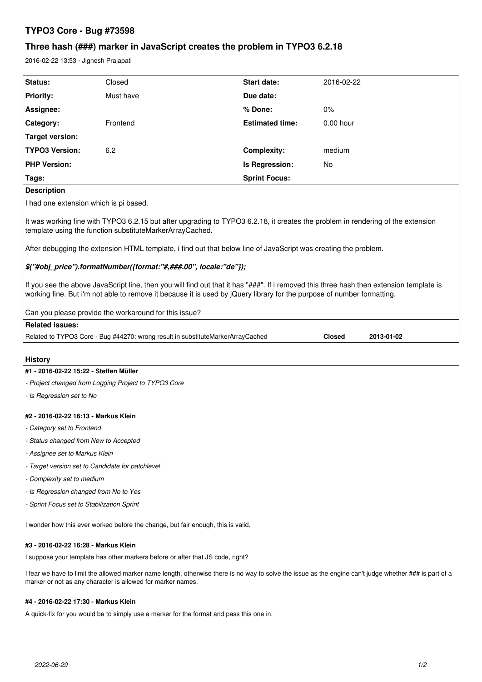# **TYPO3 Core - Bug #73598**

# **Three hash (###) marker in JavaScript creates the problem in TYPO3 6.2.18**

2016-02-22 13:53 - Jignesh Prajapati

| Status:                                                                                                                                                                                                                                                           | Closed    | Start date:            | 2016-02-22  |  |  |
|-------------------------------------------------------------------------------------------------------------------------------------------------------------------------------------------------------------------------------------------------------------------|-----------|------------------------|-------------|--|--|
| <b>Priority:</b>                                                                                                                                                                                                                                                  | Must have | Due date:              |             |  |  |
| Assignee:                                                                                                                                                                                                                                                         |           | % Done:                | $0\%$       |  |  |
| Category:                                                                                                                                                                                                                                                         | Frontend  | <b>Estimated time:</b> | $0.00$ hour |  |  |
| Target version:                                                                                                                                                                                                                                                   |           |                        |             |  |  |
| <b>TYPO3 Version:</b>                                                                                                                                                                                                                                             | 6.2       | <b>Complexity:</b>     | medium      |  |  |
| <b>PHP Version:</b>                                                                                                                                                                                                                                               |           | Is Regression:         | No          |  |  |
| Tags:                                                                                                                                                                                                                                                             |           | <b>Sprint Focus:</b>   |             |  |  |
| <b>Description</b>                                                                                                                                                                                                                                                |           |                        |             |  |  |
| I had one extension which is pi based.                                                                                                                                                                                                                            |           |                        |             |  |  |
| It was working fine with TYPO3 6.2.15 but after upgrading to TYPO3 6.2.18, it creates the problem in rendering of the extension<br>template using the function substituteMarkerArrayCached.                                                                       |           |                        |             |  |  |
| After debugging the extension HTML template, i find out that below line of JavaScript was creating the problem.                                                                                                                                                   |           |                        |             |  |  |
| \$("#obj_price").formatNumber({format:"#,###.00", locale:"de"});                                                                                                                                                                                                  |           |                        |             |  |  |
| If you see the above JavaScript line, then you will find out that it has "###". If i removed this three hash then extension template is<br>working fine. But i'm not able to remove it because it is used by jQuery library for the purpose of number formatting. |           |                        |             |  |  |

Can you please provide the workaround for this issue?

| <b>Related issues:</b>                                                          |               |            |
|---------------------------------------------------------------------------------|---------------|------------|
| Related to TYPO3 Core - Bug #44270: wrong result in substituteMarkerArrayCached | <b>Closed</b> | 2013-01-02 |

#### **History**

#### **#1 - 2016-02-22 15:22 - Steffen Müller**

*- Project changed from Logging Project to TYPO3 Core*

*- Is Regression set to No*

#### **#2 - 2016-02-22 16:13 - Markus Klein**

- *Category set to Frontend*
- *Status changed from New to Accepted*
- *Assignee set to Markus Klein*
- *Target version set to Candidate for patchlevel*
- *Complexity set to medium*
- *Is Regression changed from No to Yes*
- *Sprint Focus set to Stabilization Sprint*

I wonder how this ever worked before the change, but fair enough, this is valid.

#### **#3 - 2016-02-22 16:28 - Markus Klein**

I suppose your template has other markers before or after that JS code, right?

I fear we have to limit the allowed marker name length, otherwise there is no way to solve the issue as the engine can't judge whether ### is part of a marker or not as any character is allowed for marker names.

#### **#4 - 2016-02-22 17:30 - Markus Klein**

A quick-fix for you would be to simply use a marker for the format and pass this one in.